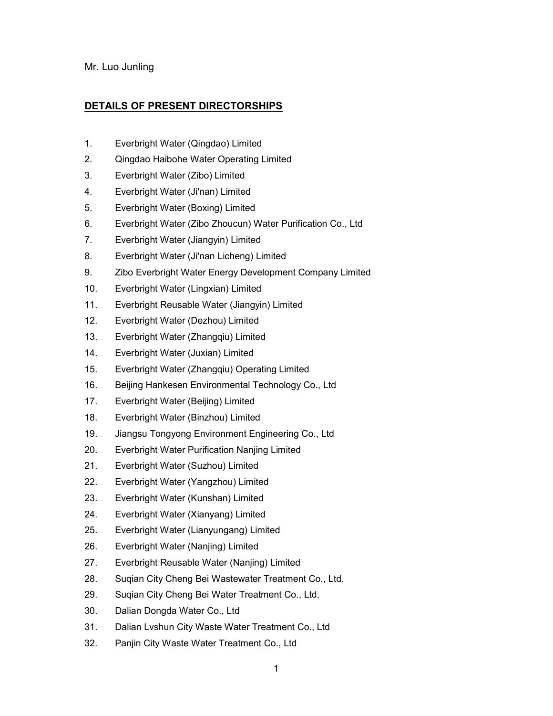## Mr. Luo Junling

## **DETAILS OF PRESENT DIRECTORSHIPS**

- 1. Everbright Water (Qingdao) Limited
- 2. Qingdao Haibohe Water Operating Limited
- 3. Everbright Water (Zibo) Limited
- 4. Everbright Water (Ji'nan) Limited
- 5. Everbright Water (Boxing) Limited
- 6. Everbright Water (Zibo Zhoucun) Water Purification Co., Ltd
- 7. Everbright Water (Jiangyin) Limited
- 8. Everbright Water (Ji'nan Licheng) Limited
- 9. Zibo Everbright Water Energy Development Company Limited
- 10. Everbright Water (Lingxian) Limited
- 11. Everbright Reusable Water (Jiangyin) Limited
- 12. Everbright Water (Dezhou) Limited
- 13. Everbright Water (Zhangqiu) Limited
- 14. Everbright Water (Juxian) Limited
- 15. Everbright Water (Zhangqiu) Operating Limited
- 16. Beijing Hankesen Environmental Technology Co., Ltd
- 17. Everbright Water (Beijing) Limited
- 18. Everbright Water (Binzhou) Limited
- 19. Jiangsu Tongyong Environment Engineering Co., Ltd
- 20. Everbright Water Purification Nanjing Limited
- 21. Everbright Water (Suzhou) Limited
- 22. Everbright Water (Yangzhou) Limited
- 23. Everbright Water (Kunshan) Limited
- 24. Everbright Water (Xianyang) Limited
- 25. Everbright Water (Lianyungang) Limited
- 26. Everbright Water (Nanjing) Limited
- 27. Everbright Reusable Water (Nanjing) Limited
- 28. Suqian City Cheng Bei Wastewater Treatment Co., Ltd.
- 29. Suqian City Cheng Bei Water Treatment Co., Ltd.
- 30. Dalian Dongda Water Co., Ltd
- 31. Dalian Lvshun City Waste Water Treatment Co., Ltd
- 32. Panjin City Waste Water Treatment Co., Ltd